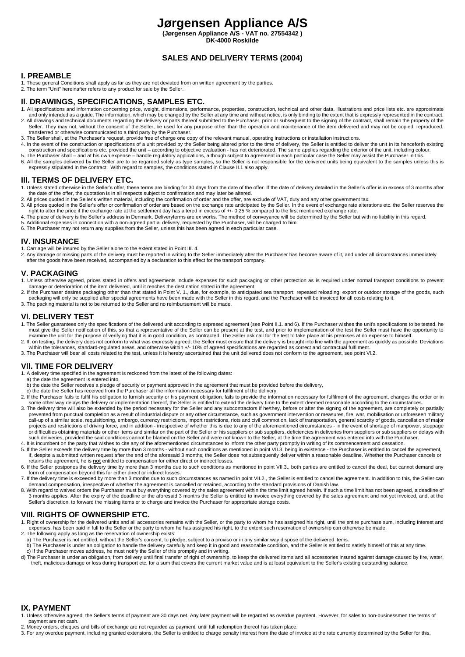# **Jørgensen Appliance A/S**

**(Jørgensen Appliance A/S - VAT no. 27554342 )**

# **DK-4000 Roskilde**

# **SALES AND DELIVERY TERMS (2004)**

## **I. PREAMBLE**

- 1. These general Conditions shall apply as far as they are not deviated from on written agreement by the parties.
- 2. The term "Unit" hereinafter refers to any product for sale by the Seller.

## **Il**. **DRAWINGS, SPECIFICATIONS, SAMPLES ETC.**

- 1. All specifications and information concerning price, weight, dimensions, performance, properties, construction, technical and other data, illustrations and price lists etc. are approximate
- and only intended as a guide. The information, which may be changed by the Seller at any time and without notice, is only binding to the extent that is expressly represented in the contract.<br>2. All drawings and technical d
- 
- 
- 5. The Purchaser shall and at his own expense handle regulatory applications, although subject to agreement in each particular case the Seller may assist the Purchaser in this. 6. All the samples delivered by the Seller are to be regarded solely as type samples, so the Seller is not responsible for the delivered units being equivalent to the samples unless this is expressly stipulated in the cont

### **Ill. TERMS OF DELIVERY ETC.**

- 1. Unless stated otherwise in the Seller's offer, these terms are binding for 30 days from the date of the offer. If the date of delivery detailed in the Seller's offer is in excess of 3 months after the date of the offer, the quotation is in all respects subject to confirmation and may later be altered.
- 2. All prices quoted in the Seller's written material, including the confirmation of order and the offer, are exclude of VAT, duty and any other government tax.
- 3. All prices quoted in the Seller's offer or confirmation of order are based on the exchange rate anticipated by the Seller. In the event of exchange rate alterations etc. the Seller reserves the settlement day has altere
- 4. The place of delivery is the Seller's address in Denmark. Deliveryterms are ex works. The method of conveyance will be determined by the Seller but with no liability in this regard. 5. Additional expenses in connection with a non-agreed partial delivery, requested by the Purchaser, will be charged to him.
- 6. The Purchaser may not return any supplies from the Seller, unless this has been agreed in each particular case.

## **IV. INSURANCE**

- 1. Carriage will be insured by the Seller alone to the extent stated in Point III. 4.
- 2. Any damage or missing parts of the delivery must be reported in writing to the Seller immediately after the Purchaser has become aware of it, and under all circumstances immediately after the goods have been received, accompanied by a declaration to this effect for the transport company.

#### **V. PACKAGING**

- 1. Unless otherwise agreed, prices stated in offers and agreements include expenses for such packaging or other protection as is required under normal transport conditions to prevent damage or deterioration of the item delivered, until it reaches the destination stated in the agreement.
- 2. If the Purchaser desires packaging other than that stated in Point V. 1., due, for example, to anticipated sea transport, repeated reloading, export or outdoor storage of the goods, such<br>packaging will only be supplied 3. The packing material is not to be returned to the Seller and no reimbursement will be made.
- 

#### **Vl. DELIVERY TEST**

- 1. The Seller guarantees only the specifications of the delivered unit according to expresed agreement (see Point II.1. and 6). If the Purchaser wishes the unit's specifications to be tested, he must give the Seller notification of this, so that a representative of the Seller can be present at the test, and prior to implementation of the test the Seller must have the opportunity to<br>examine the unit for the purpose
- 2. If, on testing, the delivery does not conform to what was expressly agreed, the Seller must ensure that the delivery is brought into line with the agreement as quickly as possible. Deviations within the tolerances, standard-regulated areas, and otherwise within +/-10% of agreed specifications are regarded as correct and contractual fulfilment.
- 3. The Purchaser will bear all costs related to the test, unless it is hereby ascertained that the unit delivered does not conform to the agreement, see point Vl.2.

# **Vll. TIME FOR DELIVERY**

- 1. A delivery time specified in the agreement is reckoned from the latest of the following dates:
- a) the date the agreement is entered into.
- 
- 
- b) the date the Seller receives a pledge of security or payment approved in the agreement that must be provided before the delivery,<br>c) the date the Seller has received from the Purchaser all the information necessary for some other way delays the delivery or implementation thereof, the Seller is entitled to extend the delivery time to the extent deemed reasonable according to the circumstances.
- 3. The delivery time will also be extended by the period necessary for the Seller and any subcontractors if he/they, before or after the signing of the agreement, are completely or partially<br>prevented from punctual complet call-up of a similar scale, requisitioning, embargo, currency restrictions, import restrictions, riots and civil commotion, lack of transportation, general scarcity of goods, cancellation of major projects and restrictions of driving force, and in addition - irrespective of whether this is due to any of the aforementioned circumstances - in the event of shortage of manpower, stoppage<br>or difficulties obtaining materi such deliveries, provided the said conditions cannot be blamed on the Seller and were not known to the Seller, at the time the agreement was entered into with the Purchaser
- 4. It is incumbent on the party that wishes to cite any of the aforementioned circumstances to inform the other party promptly in writing of its commencement and cessation.<br>5. If the Seller exceeds the delivery time by mor
- if, despite a submitted written request after the end of the aforesaid 3 months, the Seller does not subsequently deliver within a reasonable deadline. Whether the Purchaser cancels or retains the agreement, he is not entitled to compensation for either direct or indirect losses.<br>6. If the Seller postpones the delivery time by more than 3 months due to such conditions as mentioned in point VII.3., both p
- form of compensation beyond this for either direct or indirect losses.
- 7. If the delivery time is exceeded by more than 3 months due to such circumstances as named in point VII.2., the Seller is entitled to cancel the agreement. In addition to this, the Seller can<br>demand compensation, irrespe
- 8. With regard to waived orders the Purchaser must buy everything covered by the sales agreement within the time limit agreed herein. If such a time limit has not been agreed, a deadline of 3 months applies. After the expiry of the deadline or the aforesaid 3 months the Seller is entitled to invoice everything covered by the sales agreement and not yet invoiced, and, at the<br>Seller's discretion, to forward the

## **VIIl. RIGHTS OF OWNERSHIP ETC.**

- 1. Right of ownership for the delivered units and all accessories remains with the Seller, or the party to whom he has assigned his right, until the entire purchase sum, including interest and expenses, has been paid in full to the Seller or the party to whom he has assigned his right, to the extent such reservation of ownership can otherwise be made.
- 2. The following apply as long as the reservation of ownership exists: a) The Purchaser is not entitled, without the Seller's consent, to pledge, subject to a proviso or in any similar way dispose of the delivered items.
- b) The Purchaser is under an obligation to handle the delivery carefully and keep it in good and reasonable condition, and the Seller is entitled to satisfy himself of this at any time. c) If the Purchaser moves address, he must notify the Seller of this promptly and in writing.
- d) The Purchaser is under an obligation, from delivery until final transfer of right of ownership, to keep the delivered items and all accessories insured against damage caused by fire, water, theft, malicious damage or loss during transport etc. for a sum that covers the current market value and is at least equivalent to the Seller's existing outstanding balance.

## **IX. PAYMENT**

- 1. Unless otherwise agreed, the Seller's terms of payment are 30 days net. Any later payment will be regarded as overdue payment. However, for sales to non-businessmen the terms of payment are net cash.
- 2. Money orders, cheques and bills of exchange are not regarded as payment, until full redemption thereof has taken place.
- 3. For any overdue payment, including granted extensions, the Seller is entitled to charge penalty interest from the date of invoice at the rate currently determined by the Seller for this,